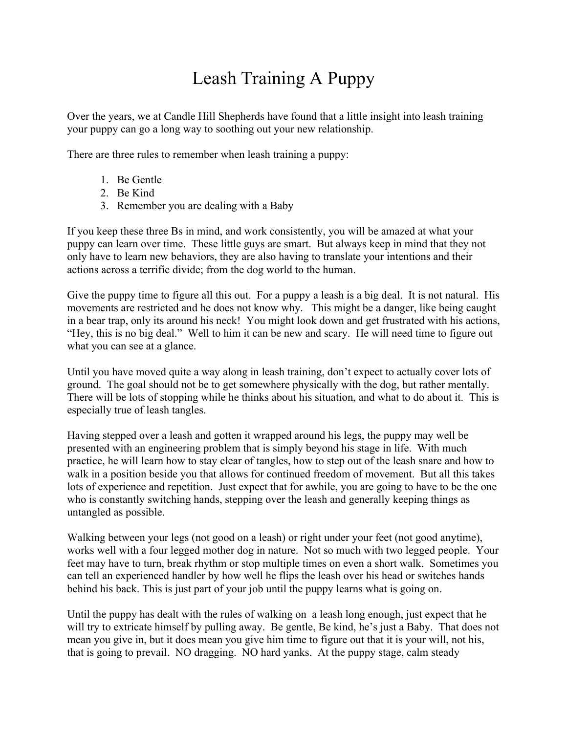## Leash Training A Puppy

Over the years, we at Candle Hill Shepherds have found that a little insight into leash training your puppy can go a long way to soothing out your new relationship.

There are three rules to remember when leash training a puppy:

- 1. Be Gentle
- 2. Be Kind
- 3. Remember you are dealing with a Baby

If you keep these three Bs in mind, and work consistently, you will be amazed at what your puppy can learn over time. These little guys are smart. But always keep in mind that they not only have to learn new behaviors, they are also having to translate your intentions and their actions across a terrific divide; from the dog world to the human.

Give the puppy time to figure all this out. For a puppy a leash is a big deal. It is not natural. His movements are restricted and he does not know why. This might be a danger, like being caught in a bear trap, only its around his neck! You might look down and get frustrated with his actions, "Hey, this is no big deal." Well to him it can be new and scary. He will need time to figure out what you can see at a glance.

Until you have moved quite a way along in leash training, don't expect to actually cover lots of ground. The goal should not be to get somewhere physically with the dog, but rather mentally. There will be lots of stopping while he thinks about his situation, and what to do about it. This is especially true of leash tangles.

Having stepped over a leash and gotten it wrapped around his legs, the puppy may well be presented with an engineering problem that is simply beyond his stage in life. With much practice, he will learn how to stay clear of tangles, how to step out of the leash snare and how to walk in a position beside you that allows for continued freedom of movement. But all this takes lots of experience and repetition. Just expect that for awhile, you are going to have to be the one who is constantly switching hands, stepping over the leash and generally keeping things as untangled as possible.

Walking between your legs (not good on a leash) or right under your feet (not good anytime), works well with a four legged mother dog in nature. Not so much with two legged people. Your feet may have to turn, break rhythm or stop multiple times on even a short walk. Sometimes you can tell an experienced handler by how well he flips the leash over his head or switches hands behind his back. This is just part of your job until the puppy learns what is going on.

Until the puppy has dealt with the rules of walking on a leash long enough, just expect that he will try to extricate himself by pulling away. Be gentle, Be kind, he's just a Baby. That does not mean you give in, but it does mean you give him time to figure out that it is your will, not his, that is going to prevail. NO dragging. NO hard yanks. At the puppy stage, calm steady